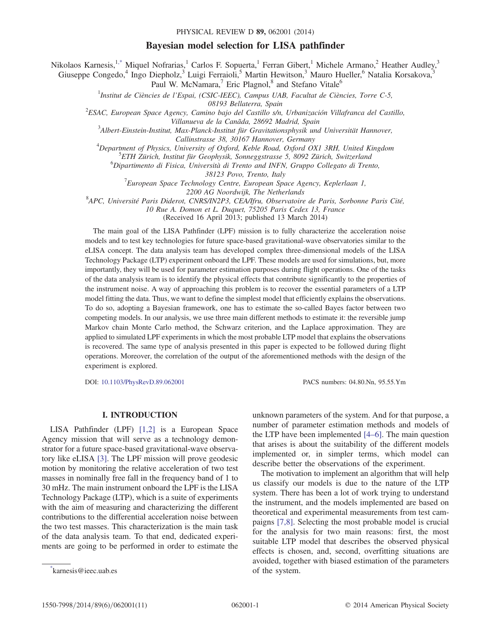# Bayesian model selection for LISA pathfinder

<span id="page-0-1"></span>Nikolaos Karnesis,<sup>[1,\\*](#page-0-0)</sup> Miquel Nofrarias,<sup>1</sup> Carlos F. Sopuerta,<sup>1</sup> Ferran Gibert,<sup>1</sup> Michele Armano,<sup>2</sup> Heather Audley,<sup>3</sup>

Giuseppe Congedo,<sup>4</sup> Ingo Diepholz,<sup>3</sup> Luigi Ferraioli,<sup>5</sup> Martin Hewitson,<sup>3</sup> Mauro Hueller,<sup>6</sup> Natalia Korsakova,

Paul W. McNamara,<sup>7</sup> Eric Plagnol,<sup>8</sup> and Stefano Vitale<sup>6</sup>

<sup>1</sup>Institut de Ciències de l'Espai, (CSIC-IEEC), Campus UAB, Facultat de Ciències, Torre C-5,

08193 Bellaterra, Spain<br>ESAC, European Space Agency, Camino bajo del Castillo s/n, Urbanización Villafranca del Castillo?

Villanueva de la Canãda, 28692 Madrid, Spain<br><sup>3</sup>Albert-Einstein-Institut, Max-Planck-Institut für Gravitationsphysik und Universität Hannover, Callinstrasse 38, 30167 Hannover, Germany <sup>4</sup>

<sup>4</sup>Department of Physics, University of Oxford, Keble Road, Oxford OX1 3RH, United Kingdom

 ${}^{5}$ ETH Zürich, Institut für Geophysik, Sonneggstrasse 5, 8092 Zürich, Switzerland  ${}^6$ Dipartimento di Fisica, Università di Trento and INFN, Gruppo Collegato di Trento,

38123 Povo, Trento, Italy<br>European Space Technology Centre, European Space Agency, Keplerlaan 1,

2200 AG Noordwijk, The Netherlands<br><sup>8</sup>APC, Université Paris Diderot, CNRS/IN2P3, CEA/Ifru, Observatoire de Paris, Sorbonne Paris Cité,

10 Rue A. Domon et L. Duquet, 75205 Paris Cedex 13, France

(Received 16 April 2013; published 13 March 2014)

The main goal of the LISA Pathfinder (LPF) mission is to fully characterize the acceleration noise models and to test key technologies for future space-based gravitational-wave observatories similar to the eLISA concept. The data analysis team has developed complex three-dimensional models of the LISA Technology Package (LTP) experiment onboard the LPF. These models are used for simulations, but, more importantly, they will be used for parameter estimation purposes during flight operations. One of the tasks of the data analysis team is to identify the physical effects that contribute significantly to the properties of the instrument noise. A way of approaching this problem is to recover the essential parameters of a LTP model fitting the data. Thus, we want to define the simplest model that efficiently explains the observations. To do so, adopting a Bayesian framework, one has to estimate the so-called Bayes factor between two competing models. In our analysis, we use three main different methods to estimate it: the reversible jump Markov chain Monte Carlo method, the Schwarz criterion, and the Laplace approximation. They are applied to simulated LPF experiments in which the most probable LTP model that explains the observations is recovered. The same type of analysis presented in this paper is expected to be followed during flight operations. Moreover, the correlation of the output of the aforementioned methods with the design of the experiment is explored.

DOI: [10.1103/PhysRevD.89.062001](http://dx.doi.org/10.1103/PhysRevD.89.062001) PACS numbers: 04.80.Nn, 95.55.Ym

# I. INTRODUCTION

LISA Pathfinder (LPF) [\[1,2\]](#page-9-0) is a European Space Agency mission that will serve as a technology demonstrator for a future space-based gravitational-wave observatory like eLISA [\[3\]](#page-9-1). The LPF mission will prove geodesic motion by monitoring the relative acceleration of two test masses in nominally free fall in the frequency band of 1 to 30 mHz. The main instrument onboard the LPF is the LISA Technology Package (LTP), which is a suite of experiments with the aim of measuring and characterizing the different contributions to the differential acceleration noise between the two test masses. This characterization is the main task of the data analysis team. To that end, dedicated experiments are going to be performed in order to estimate the

unknown parameters of the system. And for that purpose, a number of parameter estimation methods and models of the LTP have been implemented [4–[6\]](#page-9-2). The main question that arises is about the suitability of the different models implemented or, in simpler terms, which model can describe better the observations of the experiment.

The motivation to implement an algorithm that will help us classify our models is due to the nature of the LTP system. There has been a lot of work trying to understand the instrument, and the models implemented are based on theoretical and experimental measurements from test campaigns [\[7,8\]](#page-9-3). Selecting the most probable model is crucial for the analysis for two main reasons: first, the most suitable LTP model that describes the observed physical effects is chosen, and, second, overfitting situations are avoided, together with biased estimation of the parameters [\\*](#page-0-1)karnesis@ieec.uab.es of the system.

<span id="page-0-0"></span>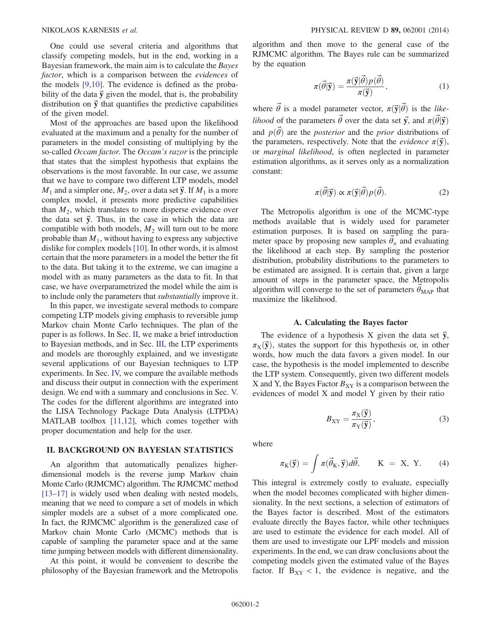One could use several criteria and algorithms that classify competing models, but in the end, working in a Bayesian framework, the main aim is to calculate the Bayes factor, which is a comparison between the evidences of the models [\[9,10\].](#page-9-4) The evidence is defined as the probability of the data  $\vec{v}$  given the model, that is, the probability distribution on  $\vec{y}$  that quantifies the predictive capabilities of the given model.

Most of the approaches are based upon the likelihood evaluated at the maximum and a penalty for the number of parameters in the model consisting of multiplying by the so-called *Occam factor*. The *Occam's razor* is the principle that states that the simplest hypothesis that explains the observations is the most favorable. In our case, we assume that we have to compare two different LTP models, model  $M_1$  and a simpler one,  $M_2$ , over a data set  $\vec{y}$ . If  $M_1$  is a more complex model, it presents more predictive capabilities than  $M_2$ , which translates to more disperse evidence over the data set  $\vec{y}$ . Thus, in the case in which the data are compatible with both models,  $M_2$  will turn out to be more probable than  $M_1$ , without having to express any subjective dislike for complex models [\[10\]](#page-9-5). In other words, it is almost certain that the more parameters in a model the better the fit to the data. But taking it to the extreme, we can imagine a model with as many parameters as the data to fit. In that case, we have overparametrized the model while the aim is to include only the parameters that substantially improve it.

In this paper, we investigate several methods to compare competing LTP models giving emphasis to reversible jump Markov chain Monte Carlo techniques. The plan of the paper is as follows. In Sec. [II](#page-1-0), we make a brief introduction to Bayesian methods, and in Sec. [III,](#page-3-0) the LTP experiments and models are thoroughly explained, and we investigate several applications of our Bayesian techniques to LTP experiments. In Sec. [IV,](#page-7-0) we compare the available methods and discuss their output in connection with the experiment design. We end with a summary and conclusions in Sec. [V.](#page-9-6) The codes for the different algorithms are integrated into the LISA Technology Package Data Analysis (LTPDA) MATLAB toolbox [\[11,12\]](#page-9-7), which comes together with proper documentation and help for the user.

# <span id="page-1-0"></span>II. BACKGROUND ON BAYESIAN STATISTICS

An algorithm that automatically penalizes higherdimensional models is the reverse jump Markov chain Monte Carlo (RJMCMC) algorithm. The RJMCMC method [\[13](#page-10-0)–17] is widely used when dealing with nested models, meaning that we need to compare a set of models in which simpler models are a subset of a more complicated one. In fact, the RJMCMC algorithm is the generalized case of Markov chain Monte Carlo (MCMC) methods that is capable of sampling the parameter space and at the same time jumping between models with different dimensionality.

At this point, it would be convenient to describe the philosophy of the Bayesian framework and the Metropolis algorithm and then move to the general case of the RJMCMC algorithm. The Bayes rule can be summarized by the equation

$$
\pi(\vec{\theta}|\vec{\mathbf{y}}) = \frac{\pi(\vec{\mathbf{y}}|\vec{\theta})p(\vec{\theta})}{\pi(\vec{\mathbf{y}})},
$$
\n(1)

where  $\vec{\theta}$  is a model parameter vector,  $\pi(\vec{y}|\vec{\theta})$  is the *like-*<br> $\vec{v}$  is the likelihood of the parameters  $\vec{\theta}$  over the data set  $\vec{y}$ , and  $\pi(\vec{\theta}|\vec{y})$ and  $p(\vec{\theta})$  are the *posterior* and the *prior* distributions of<br>the parameters respectively. Note that the *evidence*  $\pi(\vec{v})$ the parameters, respectively. Note that the *evidence*  $\pi(\vec{y})$ , or marginal likelihood, is often neglected in parameter estimation algorithms, as it serves only as a normalization constant:

$$
\pi(\vec{\theta}|\vec{\mathbf{y}}) \propto \pi(\vec{\mathbf{y}}|\vec{\theta}) p(\vec{\theta}).
$$
\n(2)

The Metropolis algorithm is one of the MCMC-type methods available that is widely used for parameter estimation purposes. It is based on sampling the parameter space by proposing new samples  $\vec{\theta}_n$  and evaluating the likelihood at each step. By sampling the posterior distribution, probability distributions to the parameters to be estimated are assigned. It is certain that, given a large amount of steps in the parameter space, the Metropolis algorithm will converge to the set of parameters  $\vec{\theta}_{MAP}$  that maximize the likelihood.

## A. Calculating the Bayes factor

The evidence of a hypothesis X given the data set  $\vec{y}$ ,  $\pi_X(\vec{y})$ , states the support for this hypothesis or, in other words, how much the data favors a given model. In our case, the hypothesis is the model implemented to describe the LTP system. Consequently, given two different models X and Y, the Bayes Factor  $B_{XY}$  is a comparison between the evidences of model X and model Y given by their ratio

$$
B_{XY} = \frac{\pi_X(\vec{y})}{\pi_Y(\vec{y})},\tag{3}
$$

<span id="page-1-1"></span>where

$$
\pi_{\mathcal{K}}(\vec{y}) = \int \pi(\vec{\theta}_{\mathcal{K}}, \vec{y}) d\vec{\theta}, \qquad \mathcal{K} = \mathcal{X}, \mathcal{Y}. \qquad (4)
$$

This integral is extremely costly to evaluate, especially when the model becomes complicated with higher dimensionality. In the next sections, a selection of estimators of the Bayes factor is described. Most of the estimators evaluate directly the Bayes factor, while other techniques are used to estimate the evidence for each model. All of them are used to investigate our LPF models and mission experiments. In the end, we can draw conclusions about the competing models given the estimated value of the Bayes factor. If  $B_{XY} < 1$ , the evidence is negative, and the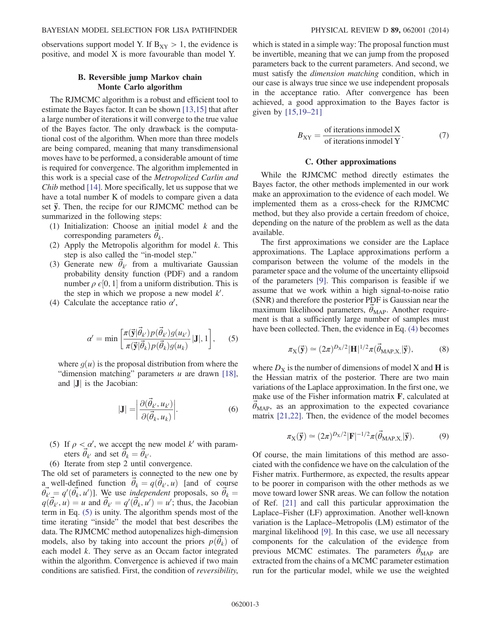<span id="page-2-2"></span>observations support model Y. If  $B_{XY} > 1$ , the evidence is positive, and model X is more favourable than model Y.

# B. Reversible jump Markov chain Monte Carlo algorithm

The RJMCMC algorithm is a robust and efficient tool to estimate the Bayes factor. It can be shown [\[13,15\]](#page-10-0) that after a large number of iterations it will converge to the true value of the Bayes factor. The only drawback is the computational cost of the algorithm. When more than three models are being compared, meaning that many transdimensional moves have to be performed, a considerable amount of time is required for convergence. The algorithm implemented in this work is a special case of the Metropolized Carlin and Chib method [\[14\]](#page-10-1). More specifically, let us suppose that we have a total number K of models to compare given a data set  $\vec{y}$ . Then, the recipe for our RJMCMC method can be summarized in the following steps:

- (1) Initialization: Choose an initial model  $k$  and the corresponding parameters  $\vec{\theta}_k$ .
- (2) Apply the Metropolis algorithm for model  $k$ . This step is also called the "in-model step."
- (3) Generate new  $\vec{\theta}_{k'}$  from a multivariate Gaussian probability density function (PDF) and a random number  $\rho \in [0, 1]$  from a uniform distribution. This is the step in which we propose a new model  $k'$ .
- <span id="page-2-0"></span>(4) Calculate the acceptance ratio  $\alpha'$ ,

$$
\alpha' = \min\left[\frac{\pi(\vec{\mathbf{y}}|\vec{\theta}_k) p(\vec{\theta}_k) g(u_{k'})}{\pi(\vec{\mathbf{y}}|\vec{\theta}_k) p(\vec{\theta}_k) g(u_k)} |\mathbf{J}|, 1\right],\qquad(5)
$$

where  $g(u)$  is the proposal distribution from where the "dimension matching" parameters  $u$  are drawn [\[18\]](#page-10-2), and  $|J|$  is the Jacobian:

$$
|\mathbf{J}| = \left| \frac{\partial(\vec{\theta}_{k'}, u_{k'})}{\partial(\vec{\theta}_{k}, u_k)} \right|.
$$
 (6)

- (5) If  $\rho \leq \alpha'$ , we accept the new model k' with parameters  $\vec{\theta}_k$  and set  $\vec{\theta}_k = \vec{\theta}_{k'}$ .<br>Iterate from step 2 until c
- (6) Iterate from step 2 until convergence.

The old set of parameters is connected to the new one by a well-defined function  $\vec{\theta}_k = q(\vec{\theta}_{k'}, u)$  [and of course  $\theta_{k'} = q'(\vec{\theta}_k, u')$ ]. We use *independent* proposals, so  $\vec{\theta}_k = q(\vec{\theta}_{k'}, u) - u$  and  $\vec{\theta}_{k'} = q'(\vec{\theta}_{k'}, u') - u'$ ; thus the Lacobian  $(\vec{\theta_k}, u')$ ]. We use *independent* proposals, so  $\vec{\theta_k} =$ <br> $\theta = u$  and  $\vec{\theta_{kl}} = a'(\vec{\theta_{kl}} - u') = u'$ ; thus the Lacobian  $q(\vec{\theta}_k, u) = u$  and  $\vec{\theta}_k = q'(\vec{\theta}_k, u') = u'$ ; thus, the Jacobian term in Eq. (5) is unity. The algorithm spends most of the term in Eq. [\(5\)](#page-2-0) is unity. The algorithm spends most of the time iterating "inside" the model that best describes the data. The RJMCMC method autopenalizes high-dimension models, also by taking into account the priors  $p(\vec{\theta}_k)$  of each model k. They serve as an Occam factor integrated each model k. They serve as an Occam factor integrated within the algorithm. Convergence is achieved if two main conditions are satisfied. First, the condition of reversibility, which is stated in a simple way: The proposal function must be invertible, meaning that we can jump from the proposed parameters back to the current parameters. And second, we must satisfy the dimension matching condition, which in our case is always true since we use independent proposals in the acceptance ratio. After convergence has been achieved, a good approximation to the Bayes factor is given by [\[15,19](#page-10-3)–21]

$$
B_{XY} = \frac{\text{of iterations inmodel X}}{\text{of iterations inmodel Y}}.
$$
 (7)

## C. Other approximations

<span id="page-2-1"></span>While the RJMCMC method directly estimates the Bayes factor, the other methods implemented in our work make an approximation to the evidence of each model. We implemented them as a cross-check for the RJMCMC method, but they also provide a certain freedom of choice, depending on the nature of the problem as well as the data available.

The first approximations we consider are the Laplace approximations. The Laplace approximations perform a comparison between the volume of the models in the parameter space and the volume of the uncertainty ellipsoid of the parameters [\[9\].](#page-9-4) This comparison is feasible if we assume that we work within a high signal-to-noise ratio (SNR) and therefore the posterior PDF is Gaussian near the maximum likelihood parameters,  $\vec{\theta}_{MAP}$ . Another requirement is that a sufficiently large number of samples must have been collected. Then, the evidence in Eq. [\(4\)](#page-1-1) becomes

$$
\pi_X(\vec{\mathbf{y}}) \simeq (2\pi)^{D_X/2} |\mathbf{H}|^{1/2} \pi(\vec{\theta}_{\text{MAP},X,}|\vec{\mathbf{y}}), \tag{8}
$$

where  $D_X$  is the number of dimensions of model X and H is the Hessian matrix of the posterior. There are two main variations of the Laplace approximation. In the first one, we make use of the Fisher information matrix  $\bf{F}$ , calculated at  $\theta_{MAP}$ , as an approximation to the expected covariance matrix [\[21,22\].](#page-10-4) Then, the evidence of the model becomes

$$
\pi_X(\vec{\mathbf{y}}) \simeq (2\pi)^{D_X/2} |\mathbf{F}|^{-1/2} \pi(\vec{\theta}_{\text{MAP,X}}|\vec{\mathbf{y}}). \tag{9}
$$

Of course, the main limitations of this method are associated with the confidence we have on the calculation of the Fisher matrix. Furthermore, as expected, the results appear to be poorer in comparison with the other methods as we move toward lower SNR areas. We can follow the notation of Ref. [\[21\]](#page-10-4) and call this particular approximation the Laplace–Fisher (LF) approximation. Another well-known variation is the Laplace–Metropolis (LM) estimator of the marginal likelihood [\[9\].](#page-9-4) In this case, we use all necessary components for the calculation of the evidence from previous MCMC estimates. The parameters  $\vec{\theta}_{MAP}$  are extracted from the chains of a MCMC parameter estimation run for the particular model, while we use the weighted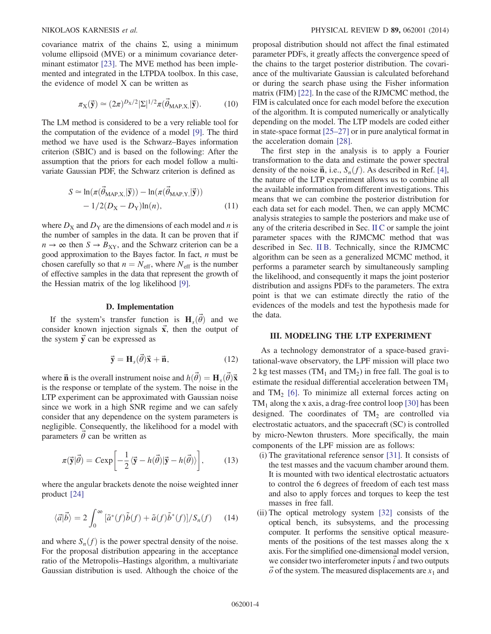covariance matrix of the chains Σ, using a minimum volume ellipsoid (MVE) or a minimum covariance determinant estimator [\[23\]](#page-10-5). The MVE method has been implemented and integrated in the LTPDA toolbox. In this case, the evidence of model X can be written as

$$
\pi_X(\vec{\mathbf{y}}) \simeq (2\pi)^{D_X/2} |\Sigma|^{1/2} \pi(\vec{\theta}_{\text{MAP,X}}|\vec{\mathbf{y}}). \tag{10}
$$

The LM method is considered to be a very reliable tool for the computation of the evidence of a model [\[9\].](#page-9-4) The third method we have used is the Schwarz–Bayes information criterion (SBIC) and is based on the following: After the assumption that the priors for each model follow a multivariate Gaussian PDF, the Schwarz criterion is defined as

$$
S \simeq \ln(\pi(\vec{\theta}_{\text{MAP,X}}|\vec{\mathbf{y}})) - \ln(\pi(\vec{\theta}_{\text{MAP,Y}}|\vec{\mathbf{y}})) - 1/2(D_X - D_Y)\ln(n),
$$
\n(11)

where  $D_x$  and  $D_y$  are the dimensions of each model and n is the number of samples in the data. It can be proven that if  $n \to \infty$  then  $S \to B_{XY}$ , and the Schwarz criterion can be a good approximation to the Bayes factor. In fact,  $n$  must be chosen carefully so that  $n = N<sub>eff</sub>$ , where  $N<sub>eff</sub>$  is the number of effective samples in the data that represent the growth of the Hessian matrix of the log likelihood [\[9\]](#page-9-4).

## D. Implementation

If the system's transfer function is  $\mathbf{H}_s(\vec{\theta})$  and we<br>nsider known injection signals  $\vec{x}$  then the output of consider known injection signals  $\vec{x}$ , then the output of the system  $\vec{y}$  can be expressed as

$$
\vec{\mathbf{y}} = \mathbf{H}_s(\vec{\theta})\vec{\mathbf{x}} + \vec{\mathbf{n}},\tag{12}
$$

where  $\vec{\mathbf{n}}$  is the overall instrument noise and  $h(\vec{\theta}) = \mathbf{H}_s(\vec{\theta})\vec{\mathbf{x}}$ <br>is the response or template of the system. The noise in the is the response or template of the system. The noise in the LTP experiment can be approximated with Gaussian noise since we work in a high SNR regime and we can safely consider that any dependence on the system parameters is negligible. Consequently, the likelihood for a model with parameters  $\vec{\theta}$  can be written as

$$
\pi(\vec{\mathbf{y}}|\vec{\theta}) = C \exp\left[-\frac{1}{2}\langle \vec{\mathbf{y}} - h(\vec{\theta})|\vec{\mathbf{y}} - h(\vec{\theta})\rangle\right],\tag{13}
$$

where the angular brackets denote the noise weighted inner product [\[24\]](#page-10-6)

$$
\langle \vec{a} | \vec{b} \rangle = 2 \int_0^\infty \left[ \tilde{a}^*(f) \tilde{b}(f) + \tilde{a}(f) \tilde{b}^*(f) \right] / S_n(f) \tag{14}
$$

and where  $S_n(f)$  is the power spectral density of the noise. For the proposal distribution appearing in the acceptance ratio of the Metropolis–Hastings algorithm, a multivariate Gaussian distribution is used. Although the choice of the proposal distribution should not affect the final estimated parameter PDFs, it greatly affects the convergence speed of the chains to the target posterior distribution. The covariance of the multivariate Gaussian is calculated beforehand or during the search phase using the Fisher information matrix (FIM) [\[22\].](#page-10-7) In the case of the RJMCMC method, the FIM is calculated once for each model before the execution of the algorithm. It is computed numerically or analytically depending on the model. The LTP models are coded either in state-space format [25–[27\]](#page-10-8) or in pure analytical format in the acceleration domain [\[28\]](#page-10-9).

The first step in the analysis is to apply a Fourier transformation to the data and estimate the power spectral density of the noise  $\vec{\bf{n}}$ , i.e.,  $S_n(f)$ . As described in Ref. [\[4\]](#page-9-2), the nature of the LTP experiment allows us to combine all the available information from different investigations. This means that we can combine the posterior distribution for each data set for each model. Then, we can apply MCMC analysis strategies to sample the posteriors and make use of any of the criteria described in Sec. [II C](#page-2-1) or sample the joint parameter spaces with the RJMCMC method that was described in Sec. [II B.](#page-2-2) Technically, since the RJMCMC algorithm can be seen as a generalized MCMC method, it performs a parameter search by simultaneously sampling the likelihood, and consequently it maps the joint posterior distribution and assigns PDFs to the parameters. The extra point is that we can estimate directly the ratio of the evidences of the models and test the hypothesis made for the data.

### <span id="page-3-0"></span>III. MODELING THE LTP EXPERIMENT

As a technology demonstrator of a space-based gravitational-wave observatory, the LPF mission will place two 2 kg test masses (TM<sub>1</sub> and TM<sub>2</sub>) in free fall. The goal is to estimate the residual differential acceleration between TM<sub>1</sub> and  $TM_2$  [\[6\]](#page-9-8). To minimize all external forces acting on  $TM_1$  along the x axis, a drag-free control loop [\[30\]](#page-10-10) has been designed. The coordinates of  $TM_2$  are controlled via electrostatic actuators, and the spacecraft (SC) is controlled by micro-Newton thrusters. More specifically, the main components of the LPF mission are as follows:

- (i) The gravitational reference sensor [\[31\]](#page-10-11). It consists of the test masses and the vacuum chamber around them. It is mounted with two identical electrostatic actuators to control the 6 degrees of freedom of each test mass and also to apply forces and torques to keep the test masses in free fall.
- (ii) The optical metrology system [\[32\]](#page-10-12) consists of the optical bench, its subsystems, and the processing computer. It performs the sensitive optical measurements of the positions of the test masses along the x axis. For the simplified one-dimensional model version, we consider two interferometer inputs  $\vec{i}$  and two outputs  $\vec{o}$  of the system. The measured displacements are  $x_1$  and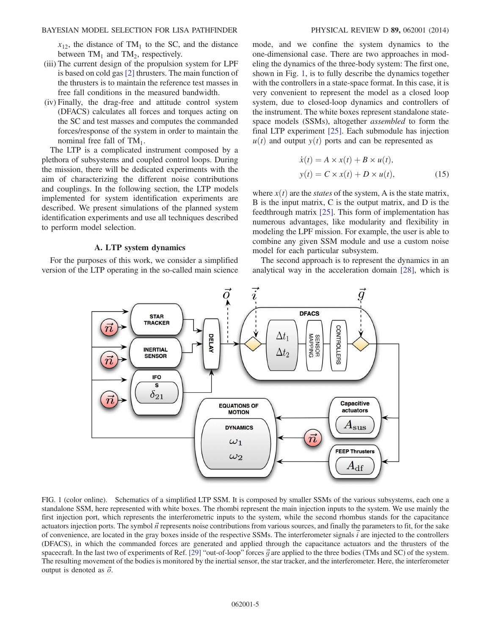$x_{12}$ , the distance of TM<sub>1</sub> to the SC, and the distance between  $TM_1$  and  $TM_2$ , respectively.

- (iii) The current design of the propulsion system for LPF is based on cold gas [\[2\]](#page-9-9) thrusters. The main function of the thrusters is to maintain the reference test masses in free fall conditions in the measured bandwidth.
- (iv) Finally, the drag-free and attitude control system (DFACS) calculates all forces and torques acting on the SC and test masses and computes the commanded forces/response of the system in order to maintain the nominal free fall of  $TM_1$ .

The LTP is a complicated instrument composed by a plethora of subsystems and coupled control loops. During the mission, there will be dedicated experiments with the aim of characterizing the different noise contributions and couplings. In the following section, the LTP models implemented for system identification experiments are described. We present simulations of the planned system identification experiments and use all techniques described to perform model selection.

# A. LTP system dynamics

<span id="page-4-0"></span>For the purposes of this work, we consider a simplified version of the LTP operating in the so-called main science mode, and we confine the system dynamics to the one-dimensional case. There are two approaches in modeling the dynamics of the three-body system: The first one, shown in Fig. [1,](#page-4-0) is to fully describe the dynamics together with the controllers in a state-space format. In this case, it is very convenient to represent the model as a closed loop system, due to closed-loop dynamics and controllers of the instrument. The white boxes represent standalone statespace models (SSMs), altogether assembled to form the final LTP experiment [\[25\]](#page-10-8). Each submodule has injection  $u(t)$  and output  $y(t)$  ports and can be represented as

$$
\dot{x}(t) = A \times x(t) + B \times u(t),
$$
  
\n
$$
y(t) = C \times x(t) + D \times u(t),
$$
\n(15)

where  $x(t)$  are the *states* of the system, A is the state matrix, B is the input matrix, C is the output matrix, and D is the feedthrough matrix [\[25\].](#page-10-8) This form of implementation has numerous advantages, like modularity and flexibility in modeling the LPF mission. For example, the user is able to combine any given SSM module and use a custom noise model for each particular subsystem.

The second approach is to represent the dynamics in an analytical way in the acceleration domain [\[28\],](#page-10-9) which is



FIG. 1 (color online). Schematics of a simplified LTP SSM. It is composed by smaller SSMs of the various subsystems, each one a standalone SSM, here represented with white boxes. The rhombi represent the main injection inputs to the system. We use mainly the first injection port, which represents the interferometric inputs to the system, while the second rhombus stands for the capacitance actuators injection ports. The symbol  $\vec{n}$  represents noise contributions from various sources, and finally the parameters to fit, for the sake of convenience, are located in the gray boxes inside of the respective SSMs. The interferometer signals  $\vec{i}$  are injected to the controllers (DFACS), in which the commanded forces are generated and applied through the capacitance actuators and the thrusters of the spacecraft. In the last two of experiments of Ref. [\[29\]](#page-10-13) "out-of-loop" forces  $\vec{g}$  are applied to the three bodies (TMs and SC) of the system. The resulting movement of the bodies is monitored by the inertial sensor, the star tracker, and the interferometer. Here, the interferometer output is denoted as  $\vec{o}$ .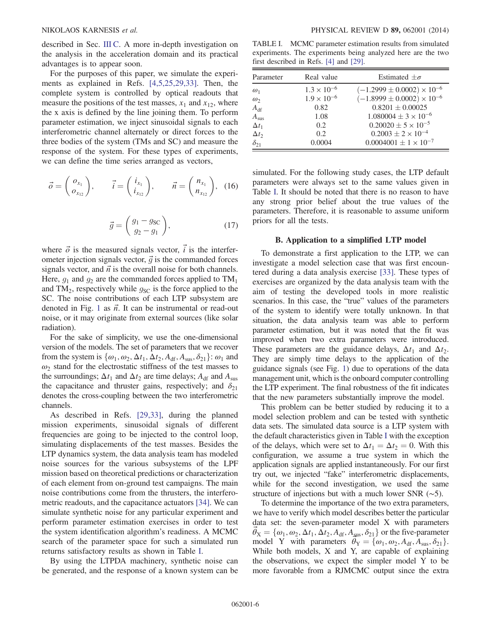described in Sec. [III C](#page-6-0). A more in-depth investigation on the analysis in the acceleration domain and its practical advantages is to appear soon.

For the purposes of this paper, we simulate the experiments as explained in Refs. [\[4,5,25,29,33\]](#page-9-2). Then, the complete system is controlled by optical readouts that measure the positions of the test masses,  $x_1$  and  $x_{12}$ , where the x axis is defined by the line joining them. To perform parameter estimation, we inject sinusoidal signals to each interferometric channel alternately or direct forces to the three bodies of the system (TMs and SC) and measure the response of the system. For these types of experiments, we can define the time series arranged as vectors,

$$
\vec{o} = \begin{pmatrix} o_{x_1} \\ o_{x_{12}} \end{pmatrix}, \qquad \vec{i} = \begin{pmatrix} i_{x_1} \\ i_{x_{12}} \end{pmatrix}, \qquad \vec{n} = \begin{pmatrix} n_{x_1} \\ n_{x_{12}} \end{pmatrix}, \quad (16)
$$

$$
\vec{g} = \begin{pmatrix} g_1 - g_{\rm SC} \\ g_2 - g_1 \end{pmatrix},\tag{17}
$$

where  $\vec{o}$  is the measured signals vector,  $\vec{i}$  is the interferometer injection signals vector,  $\vec{g}$  is the commanded forces signals vector, and  $\vec{n}$  is the overall noise for both channels. Here,  $g_1$  and  $g_2$  are the commanded forces applied to TM<sub>1</sub> and  $TM_2$ , respectively while  $g_{SC}$  is the force applied to the SC. The noise contributions of each LTP subsystem are denoted in Fig. [1](#page-4-0) as  $\vec{n}$ . It can be instrumental or read-out noise, or it may originate from external sources (like solar radiation).

For the sake of simplicity, we use the one-dimensional version of the models. The set of parameters that we recover from the system is  $\{\omega_1, \omega_2, \Delta t_1, \Delta t_2, A_{df}, A_{sus}, \delta_{21}\}$ :  $\omega_1$  and  $\omega_2$  stand for the electrostatic stiffness of the test masses to the surroundings;  $\Delta t_1$  and  $\Delta t_2$  are time delays;  $A_{df}$  and  $A_{sus}$ the capacitance and thruster gains, respectively; and  $\delta_{21}$ denotes the cross-coupling between the two interferometric channels.

As described in Refs. [\[29,33\]](#page-10-13), during the planned mission experiments, sinusoidal signals of different frequencies are going to be injected to the control loop, simulating displacements of the test masses. Besides the LTP dynamics system, the data analysis team has modeled noise sources for the various subsystems of the LPF mission based on theoretical predictions or characterization of each element from on-ground test campaigns. The main noise contributions come from the thrusters, the interferometric readouts, and the capacitance actuators [\[34\]](#page-10-14). We can simulate synthetic noise for any particular experiment and perform parameter estimation exercises in order to test the system identification algorithm's readiness. A MCMC search of the parameter space for such a simulated run returns satisfactory results as shown in Table [I.](#page-5-0)

By using the LTPDA machinery, synthetic noise can be generated, and the response of a known system can be

<span id="page-5-0"></span>TABLE I. MCMC parameter estimation results from simulated experiments. The experiments being analyzed here are the two first described in Refs. [\[4\]](#page-9-2) and [\[29\]](#page-10-13).

| Parameter                     | Real value                   | Estimated $\pm \sigma$                                          |
|-------------------------------|------------------------------|-----------------------------------------------------------------|
| $\omega_1$                    | $1.3 \times 10^{-6}$         | $(-1.2999 \pm 0.0002) \times 10^{-6}$                           |
| $\omega_2$<br>$A_{\text{df}}$ | $1.9 \times 10^{-6}$<br>0.82 | $(-1.8999 \pm 0.0002) \times 10^{-6}$<br>$0.8201 \pm 0.00025$   |
| $A_{\rm sus}$                 | 1.08                         | $1.080004 \pm 3 \times 10^{-6}$                                 |
| $\Delta t_1$<br>$\Delta t_2$  | 0.2<br>0.2                   | $0.20020 \pm 5 \times 10^{-5}$<br>$0.2003 \pm 2 \times 10^{-4}$ |
| $\delta_{21}$                 | 0.0004                       | $0.0004001 \pm 1 \times 10^{-7}$                                |

simulated. For the following study cases, the LTP default parameters were always set to the same values given in Table [I.](#page-5-0) It should be noted that there is no reason to have any strong prior belief about the true values of the parameters. Therefore, it is reasonable to assume uniform priors for all the tests.

#### B. Application to a simplified LTP model

To demonstrate a first application to the LTP, we can investigate a model selection case that was first encountered during a data analysis exercise [\[33\]](#page-10-15). These types of exercises are organized by the data analysis team with the aim of testing the developed tools in more realistic scenarios. In this case, the "true" values of the parameters of the system to identify were totally unknown. In that situation, the data analysis team was able to perform parameter estimation, but it was noted that the fit was improved when two extra parameters were introduced. These parameters are the guidance delays,  $\Delta t_1$  and  $\Delta t_2$ . They are simply time delays to the application of the guidance signals (see Fig. [1\)](#page-4-0) due to operations of the data management unit, which is the onboard computer controlling the LTP experiment. The final robustness of the fit indicates that the new parameters substantially improve the model.

This problem can be better studied by reducing it to a model selection problem and can be tested with synthetic data sets. The simulated data source is a LTP system with the default characteristics given in Table [I](#page-5-0) with the exception of the delays, which were set to  $\Delta t_1 = \Delta t_2 = 0$ . With this configuration, we assume a true system in which the application signals are applied instantaneously. For our first try out, we injected "fake" interferometric displacements, while for the second investigation, we used the same structure of injections but with a much lower SNR (∼5).

To determine the importance of the two extra parameters, we have to verify which model describes better the particular data set: the seven-parameter model X with parameters ⃗  $\theta_X = {\omega_1, \omega_2, \Delta t_1, \Delta t_2, A_{df}, A_{sus}, \delta_{21}}$  or the five-parameter model Y with parameters  $\vec{\theta}_Y = {\omega_1, \omega_2, A_{df}, A_{sus}, \delta_{21}}$ .<br>While both models X and Y are capable of explaining While both models, X and Y, are capable of explaining the observations, we expect the simpler model Y to be more favorable from a RJMCMC output since the extra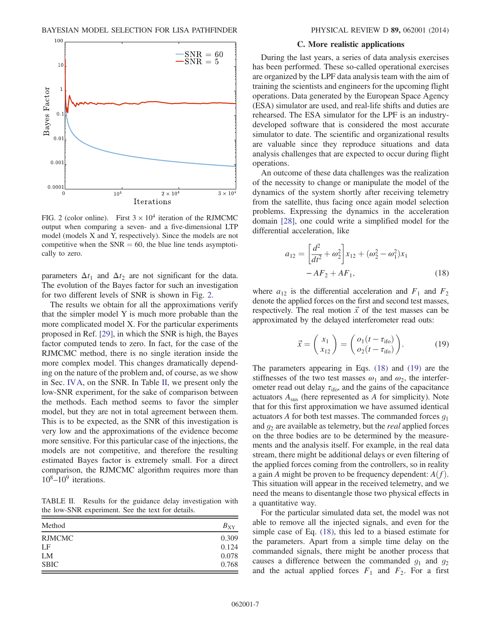<span id="page-6-1"></span>

FIG. 2 (color online). First  $3 \times 10^4$  iteration of the RJMCMC output when comparing a seven- and a five-dimensional LTP model (models X and Y, respectively). Since the models are not competitive when the  $SNR = 60$ , the blue line tends asymptotically to zero.

parameters  $\Delta t_1$  and  $\Delta t_2$  are not significant for the data. The evolution of the Bayes factor for such an investigation for two different levels of SNR is shown in Fig. [2.](#page-6-1)

The results we obtain for all the approximations verify that the simpler model Y is much more probable than the more complicated model X. For the particular experiments proposed in Ref. [\[29\],](#page-10-13) in which the SNR is high, the Bayes factor computed tends to zero. In fact, for the case of the RJMCMC method, there is no single iteration inside the more complex model. This changes dramatically depending on the nature of the problem and, of course, as we show in Sec. [IVA](#page-8-0), on the SNR. In Table [II,](#page-6-2) we present only the low-SNR experiment, for the sake of comparison between the methods. Each method seems to favor the simpler model, but they are not in total agreement between them. This is to be expected, as the SNR of this investigation is very low and the approximations of the evidence become more sensitive. For this particular case of the injections, the models are not competitive, and therefore the resulting estimated Bayes factor is extremely small. For a direct comparison, the RJMCMC algorithm requires more than  $10^8 - 10^9$  iterations.

<span id="page-6-2"></span>TABLE II. Results for the guidance delay investigation with the low-SNR experiment. See the text for details.

| Method        | $B_{XY}$ |
|---------------|----------|
| <b>RJMCMC</b> | 0.309    |
| LF            | 0.124    |
| LM            | 0.078    |
| <b>SBIC</b>   | 0.768    |

#### C. More realistic applications

<span id="page-6-0"></span>During the last years, a series of data analysis exercises has been performed. These so-called operational exercises are organized by the LPF data analysis team with the aim of training the scientists and engineers for the upcoming flight operations. Data generated by the European Space Agency (ESA) simulator are used, and real-life shifts and duties are rehearsed. The ESA simulator for the LPF is an industrydeveloped software that is considered the most accurate simulator to date. The scientific and organizational results are valuable since they reproduce situations and data analysis challenges that are expected to occur during flight operations.

An outcome of these data challenges was the realization of the necessity to change or manipulate the model of the dynamics of the system shortly after receiving telemetry from the satellite, thus facing once again model selection problems. Expressing the dynamics in the acceleration domain [\[28\],](#page-10-9) one could write a simplified model for the differential acceleration, like

<span id="page-6-3"></span>
$$
a_{12} = \left[\frac{d^2}{dt^2} + \omega_2^2\right] x_{12} + (\omega_2^2 - \omega_1^2) x_1
$$

$$
-AF_2 + AF_1,
$$
 (18)

<span id="page-6-4"></span>where  $a_{12}$  is the differential acceleration and  $F_1$  and  $F_2$ denote the applied forces on the first and second test masses, respectively. The real motion  $\vec{x}$  of the test masses can be approximated by the delayed interferometer read outs:

$$
\vec{x} = \begin{pmatrix} x_1 \\ x_{12} \end{pmatrix} = \begin{pmatrix} o_1(t - \tau_{\text{ifo}}) \\ o_2(t - \tau_{\text{ifo}}) \end{pmatrix}.
$$
 (19)

The parameters appearing in Eqs. [\(18\)](#page-6-3) and [\(19\)](#page-6-4) are the stiffnesses of the two test masses  $\omega_1$  and  $\omega_2$ , the interferometer read out delay  $\tau_{\text{ifo}}$ , and the gains of the capacitance actuators  $A_{\text{sus}}$  (here represented as A for simplicity). Note that for this first approximation we have assumed identical actuators A for both test masses. The commanded forces  $g_1$ and  $g_2$  are available as telemetry, but the *real* applied forces on the three bodies are to be determined by the measurements and the analysis itself. For example, in the real data stream, there might be additional delays or even filtering of the applied forces coming from the controllers, so in reality a gain A might be proven to be frequency dependent:  $A(f)$ . This situation will appear in the received telemetry, and we need the means to disentangle those two physical effects in a quantitative way.

For the particular simulated data set, the model was not able to remove all the injected signals, and even for the simple case of Eq. [\(18\)](#page-6-3), this led to a biased estimate for the parameters. Apart from a simple time delay on the commanded signals, there might be another process that causes a difference between the commanded  $g_1$  and  $g_2$ and the actual applied forces  $F_1$  and  $F_2$ . For a first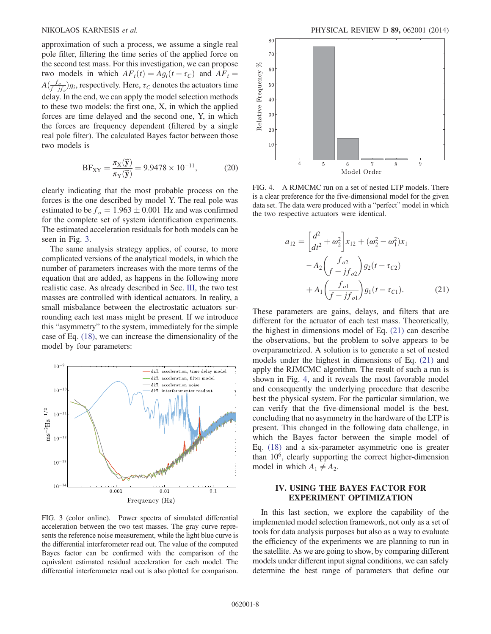approximation of such a process, we assume a single real pole filter, filtering the time series of the applied force on the second test mass. For this investigation, we can propose two models in which  $AF_i(t) = Ag_i(t - \tau_C)$  and  $AF_i =$  $A(\frac{f_o}{f-f_i/\sigma})g_i$ , respectively. Here,  $\tau_C$  denotes the actuators time delay. In the end, we can apply the model selection methods to these two models: the first one, X, in which the applied forces are time delayed and the second one, Y, in which the forces are frequency dependent (filtered by a single real pole filter). The calculated Bayes factor between those two models is

$$
BF_{XY} = \frac{\pi_X(\vec{y})}{\pi_Y(\vec{y})} = 9.9478 \times 10^{-11},\tag{20}
$$

clearly indicating that the most probable process on the forces is the one described by model Y. The real pole was estimated to be  $f<sub>o</sub> = 1.963 \pm 0.001$  Hz and was confirmed for the complete set of system identification experiments. The estimated acceleration residuals for both models can be seen in Fig. [3](#page-7-1).

The same analysis strategy applies, of course, to more complicated versions of the analytical models, in which the number of parameters increases with the more terms of the equation that are added, as happens in the following more realistic case. As already described in Sec. [III](#page-3-0), the two test masses are controlled with identical actuators. In reality, a small misbalance between the electrostatic actuators surrounding each test mass might be present. If we introduce this "asymmetry" to the system, immediately for the simple case of Eq. [\(18\)](#page-6-3), we can increase the dimensionality of the model by four parameters:

<span id="page-7-2"></span><span id="page-7-1"></span>

FIG. 3 (color online). Power spectra of simulated differential acceleration between the two test masses. The gray curve represents the reference noise measurement, while the light blue curve is the differential interferometer read out. The value of the computed Bayes factor can be confirmed with the comparison of the equivalent estimated residual acceleration for each model. The differential interferometer read out is also plotted for comparison.



<span id="page-7-3"></span>FIG. 4. A RJMCMC run on a set of nested LTP models. There is a clear preference for the five-dimensional model for the given data set. The data were produced with a "perfect" model in which the two respective actuators were identical.

$$
a_{12} = \left[\frac{d^2}{dt^2} + \omega_2^2\right] x_{12} + (\omega_2^2 - \omega_1^2) x_1
$$

$$
- A_2 \left(\frac{f_{o2}}{f - j f_{o2}}\right) g_2(t - \tau_{C2})
$$

$$
+ A_1 \left(\frac{f_{o1}}{f - j f_{o1}}\right) g_1(t - \tau_{C1}). \tag{21}
$$

These parameters are gains, delays, and filters that are different for the actuator of each test mass. Theoretically, the highest in dimensions model of Eq. [\(21\)](#page-7-2) can describe the observations, but the problem to solve appears to be overparametrized. A solution is to generate a set of nested models under the highest in dimensions of Eq. [\(21\)](#page-7-2) and apply the RJMCMC algorithm. The result of such a run is shown in Fig. [4](#page-7-3), and it reveals the most favorable model and consequently the underlying procedure that describe best the physical system. For the particular simulation, we can verify that the five-dimensional model is the best, concluding that no asymmetry in the hardware of the LTP is present. This changed in the following data challenge, in which the Bayes factor between the simple model of Eq. [\(18\)](#page-6-3) and a six-parameter asymmetric one is greater than  $10<sup>6</sup>$ , clearly supporting the correct higher-dimension model in which  $A_1 \neq A_2$ .

# <span id="page-7-0"></span>IV. USING THE BAYES FACTOR FOR EXPERIMENT OPTIMIZATION

In this last section, we explore the capability of the implemented model selection framework, not only as a set of tools for data analysis purposes but also as a way to evaluate the efficiency of the experiments we are planning to run in the satellite. As we are going to show, by comparing different models under different input signal conditions, we can safely determine the best range of parameters that define our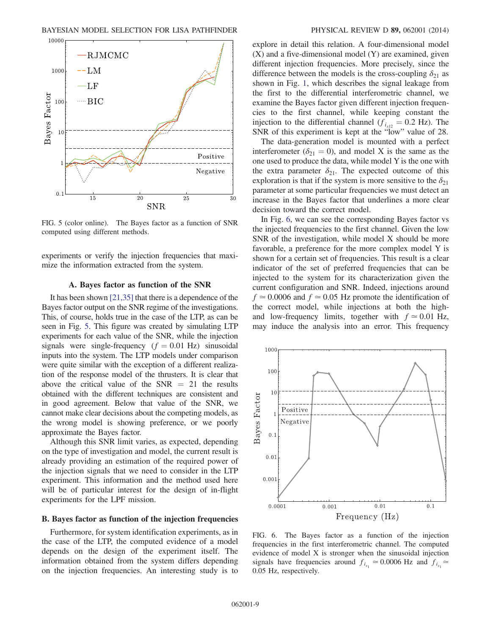<span id="page-8-1"></span>

FIG. 5 (color online). The Bayes factor as a function of SNR computed using different methods.

experiments or verify the injection frequencies that maximize the information extracted from the system.

### A. Bayes factor as function of the SNR

<span id="page-8-0"></span>It has been shown [\[21,35\]](#page-10-4) that there is a dependence of the Bayes factor output on the SNR regime of the investigations. This, of course, holds true in the case of the LTP, as can be seen in Fig. [5.](#page-8-1) This figure was created by simulating LTP experiments for each value of the SNR, while the injection signals were single-frequency  $(f = 0.01 \text{ Hz})$  sinusoidal inputs into the system. The LTP models under comparison were quite similar with the exception of a different realization of the response model of the thrusters. It is clear that above the critical value of the  $SNR = 21$  the results obtained with the different techniques are consistent and in good agreement. Below that value of the SNR, we cannot make clear decisions about the competing models, as the wrong model is showing preference, or we poorly approximate the Bayes factor.

Although this SNR limit varies, as expected, depending on the type of investigation and model, the current result is already providing an estimation of the required power of the injection signals that we need to consider in the LTP experiment. This information and the method used here will be of particular interest for the design of in-flight experiments for the LPF mission.

## B. Bayes factor as function of the injection frequencies

Furthermore, for system identification experiments, as in the case of the LTP, the computed evidence of a model depends on the design of the experiment itself. The information obtained from the system differs depending on the injection frequencies. An interesting study is to explore in detail this relation. A four-dimensional model (X) and a five-dimensional model (Y) are examined, given different injection frequencies. More precisely, since the difference between the models is the cross-coupling  $\delta_{21}$  as shown in Fig. [1,](#page-4-0) which describes the signal leakage from the first to the differential interferometric channel, we examine the Bayes factor given different injection frequencies to the first channel, while keeping constant the injection to the differential channel ( $f_{i_{r12}} = 0.2$  Hz). The SNR of this experiment is kept at the "low" value of 28.

The data-generation model is mounted with a perfect interferometer ( $\delta_{21} = 0$ ), and model X is the same as the one used to produce the data, while model Y is the one with the extra parameter  $\delta_{21}$ . The expected outcome of this exploration is that if the system is more sensitive to the  $\delta_{21}$ parameter at some particular frequencies we must detect an increase in the Bayes factor that underlines a more clear decision toward the correct model.

In Fig. [6](#page-8-2), we can see the corresponding Bayes factor vs the injected frequencies to the first channel. Given the low SNR of the investigation, while model X should be more favorable, a preference for the more complex model Y is shown for a certain set of frequencies. This result is a clear indicator of the set of preferred frequencies that can be injected to the system for its characterization given the current configuration and SNR. Indeed, injections around  $f \approx 0.0006$  and  $f \approx 0.05$  Hz promote the identification of the correct model, while injections at both the highand low-frequency limits, together with  $f \approx 0.01$  Hz, may induce the analysis into an error. This frequency

<span id="page-8-2"></span>

FIG. 6. The Bayes factor as a function of the injection frequencies in the first interferometric channel. The computed evidence of model X is stronger when the sinusoidal injection signals have frequencies around  $f_{i_{x_1}} \approx 0.0006$  Hz and  $f_{i_{x_1}} \approx$ 0.05 Hz, respectively.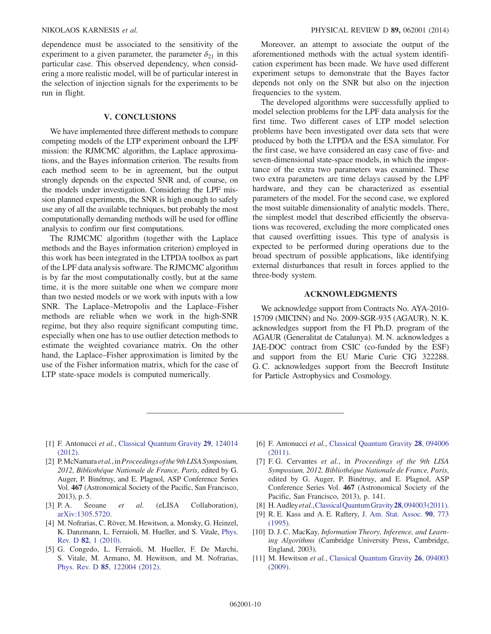dependence must be associated to the sensitivity of the experiment to a given parameter, the parameter  $\delta_{21}$  in this particular case. This observed dependency, when considering a more realistic model, will be of particular interest in the selection of injection signals for the experiments to be run in flight.

# V. CONCLUSIONS

<span id="page-9-6"></span>We have implemented three different methods to compare competing models of the LTP experiment onboard the LPF mission: the RJMCMC algorithm, the Laplace approximations, and the Bayes information criterion. The results from each method seem to be in agreement, but the output strongly depends on the expected SNR and, of course, on the models under investigation. Considering the LPF mission planned experiments, the SNR is high enough to safely use any of all the available techniques, but probably the most computationally demanding methods will be used for offline analysis to confirm our first computations.

The RJMCMC algorithm (together with the Laplace methods and the Bayes information criterion) employed in this work has been integrated in the LTPDA toolbox as part of the LPF data analysis software. The RJMCMC algorithm is by far the most computationally costly, but at the same time, it is the more suitable one when we compare more than two nested models or we work with inputs with a low SNR. The Laplace–Metropolis and the Laplace–Fisher methods are reliable when we work in the high-SNR regime, but they also require significant computing time, especially when one has to use outlier detection methods to estimate the weighted covariance matrix. On the other hand, the Laplace–Fisher approximation is limited by the use of the Fisher information matrix, which for the case of LTP state-space models is computed numerically.

Moreover, an attempt to associate the output of the aforementioned methods with the actual system identification experiment has been made. We have used different experiment setups to demonstrate that the Bayes factor depends not only on the SNR but also on the injection frequencies to the system.

The developed algorithms were successfully applied to model selection problems for the LPF data analysis for the first time. Two different cases of LTP model selection problems have been investigated over data sets that were produced by both the LTPDA and the ESA simulator. For the first case, we have considered an easy case of five- and seven-dimensional state-space models, in which the importance of the extra two parameters was examined. These two extra parameters are time delays caused by the LPF hardware, and they can be characterized as essential parameters of the model. For the second case, we explored the most suitable dimensionality of analytic models. There, the simplest model that described efficiently the observations was recovered, excluding the more complicated ones that caused overfitting issues. This type of analysis is expected to be performed during operations due to the broad spectrum of possible applications, like identifying external disturbances that result in forces applied to the three-body system.

# ACKNOWLEDGMENTS

We acknowledge support from Contracts No. AYA-2010- 15709 (MICINN) and No. 2009-SGR-935 (AGAUR). N. K. acknowledges support from the FI Ph.D. program of the AGAUR (Generalitat de Catalunya). M. N. acknowledges a JAE-DOC contract from CSIC (co-funded by the ESF) and support from the EU Marie Curie CIG 322288. G. C. acknowledges support from the Beecroft Institute for Particle Astrophysics and Cosmology.

- <span id="page-9-0"></span>[1] F. Antonucci et al., [Classical Quantum Gravity](http://dx.doi.org/10.1088/0264-9381/29/12/124014) 29, 124014 [\(2012\).](http://dx.doi.org/10.1088/0264-9381/29/12/124014)
- <span id="page-9-9"></span>[2] P. McNamara et al., in Proceedings of the 9th LISA Symposium, 2012, Bibliothéque Nationale de France, Paris, edited by G. Auger, P. Binétruy, and E. Plagnol, ASP Conference Series Vol. 467 (Astronomical Society of the Pacific, San Francisco, 2013), p. 5.
- <span id="page-9-1"></span>[3] P. A. Seoane et al. (eLISA Collaboration), [arXiv:1305.5720.](http://arXiv.org/abs/1305.5720)
- <span id="page-9-2"></span>[4] M. Nofrarias, C. Röver, M. Hewitson, a. Monsky, G. Heinzel, K. Danzmann, L. Ferraioli, M. Hueller, and S. Vitale, [Phys.](http://dx.doi.org/10.1103/PhysRevD.82.122002) Rev. D 82[, 1 \(2010\)](http://dx.doi.org/10.1103/PhysRevD.82.122002).
- [5] G. Congedo, L. Ferraioli, M. Hueller, F. De Marchi, S. Vitale, M. Armano, M. Hewitson, and M. Nofrarias, Phys. Rev. D 85[, 122004 \(2012\)](http://dx.doi.org/10.1103/PhysRevD.85.122004).
- <span id="page-9-8"></span>[6] F. Antonucci et al., [Classical Quantum Gravity](http://dx.doi.org/10.1088/0264-9381/28/9/094006) 28, 094006 [\(2011\).](http://dx.doi.org/10.1088/0264-9381/28/9/094006)
- <span id="page-9-3"></span>[7] F. G. Cervantes et al., in Proceedings of the 9th LISA Symposium, 2012, Bibliothéque Nationale de France, Paris, edited by G. Auger, P. Binétruy, and E. Plagnol, ASP Conference Series Vol. 467 (Astronomical Society of the Pacific, San Francisco, 2013), p. 141.
- [8] H. Audley et al., Classical Quantum Gravity 28, 094003 (2011).
- <span id="page-9-4"></span>[9] R. E. Kass and A. E. Raftery, [J. Am. Stat. Assoc.](http://dx.doi.org/10.1080/01621459.1995.10476572) 90, 773 [\(1995\).](http://dx.doi.org/10.1080/01621459.1995.10476572)
- <span id="page-9-5"></span>[10] D. J. C. MacKay, Information Theory, Inference, and Learning Algorithms (Cambridge University Press, Cambridge, England, 2003).
- <span id="page-9-7"></span>[11] M. Hewitson et al., [Classical Quantum Gravity](http://dx.doi.org/10.1088/0264-9381/26/9/094003) 26, 094003 [\(2009\).](http://dx.doi.org/10.1088/0264-9381/26/9/094003)